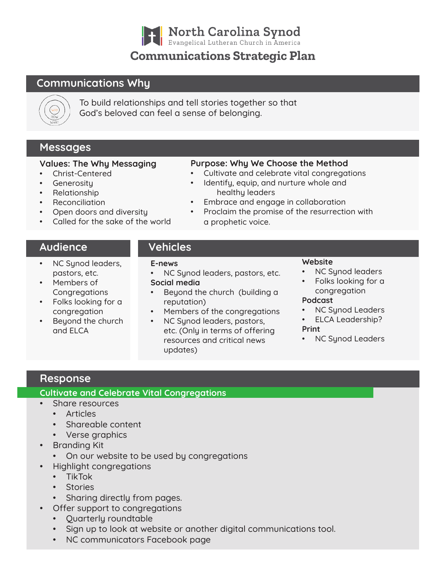| North Carolina Synod

# **Communications Strategic Plan**

# Communications Why



To build relationships and tell stories together so that God's beloved can feel a sense of belonging.

# Messages

### Values: The Why Messaging

- Christ-Centered
- **Generosity**
- Relationship
- Reconciliation
- Open doors and diversity
- Called for the sake of the world

# Audience

- NC Synod leaders, pastors, etc.
- Members of **Congregations**
- Folks looking for a congregation
- Beyond the church and ELCA

## Purpose: Why We Choose the Method

- Cultivate and celebrate vital congregations
- Identify, equip, and nurture whole and healthy leaders
- Embrace and engage in collaboration
- Proclaim the promise of the resurrection with a prophetic voice.

# Vehicles

#### E-news

- NC Synod leaders, pastors, etc. Social media
- Beyond the church (building a reputation)
- Members of the congregations
- NC Synod leaders, pastors, etc. (Only in terms of offering resources and critical news updates)

#### **Website**

- NC Synod leaders
- Folks looking for a congregation

### Podcast

- NC Sunod Leaders
- ELCA Leadership? Print
- NC Synod Leaders

# Response

## Cultivate and Celebrate Vital Congregations

- Share resources
	- Articles
	- Shareable content
	- Verse graphics
- Branding Kit
	- On our website to be used by congregations
	- Highlight congregations
	- TikTok
	- Stories
	- Sharing directly from pages.
- Offer support to congregations
	- Quarterly roundtable
	- Sign up to look at website or another digital communications tool.
	- NC communicators Facebook page